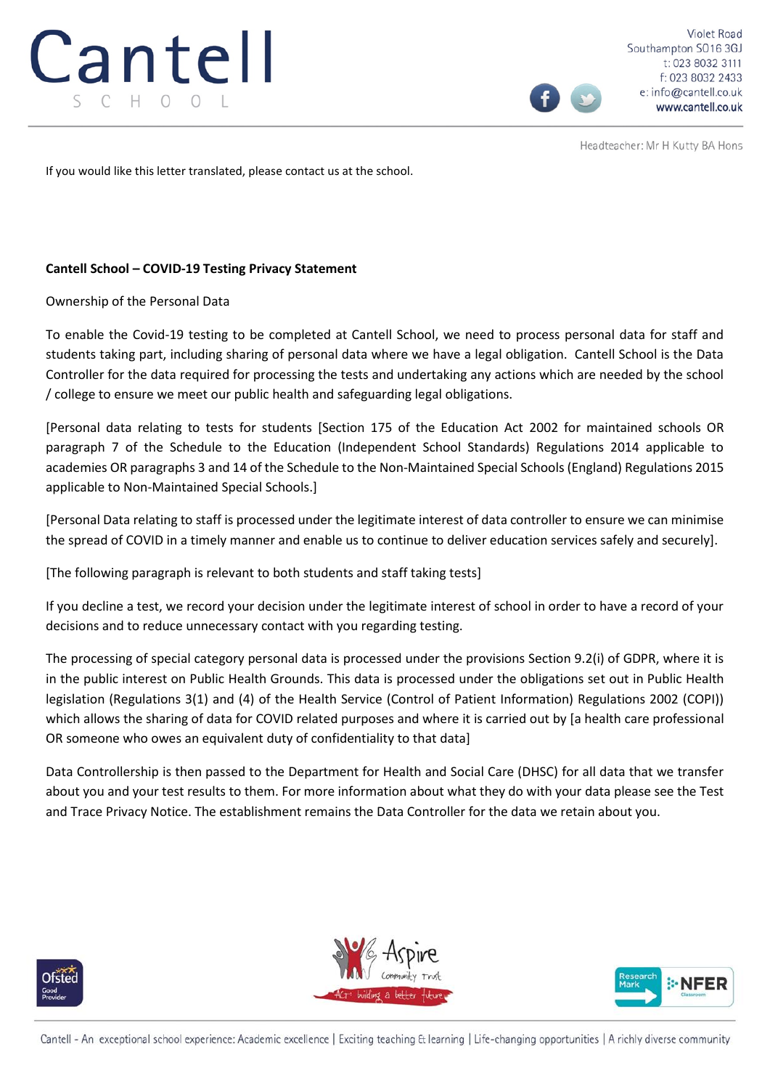

Violet Road Southampton SO16 3GJ t: 023 8032 3111 f: 023 8032 2433 e: info@cantell.co.uk www.cantell.co.uk

Headteacher: Mr H Kutty BA Hons

If you would like this letter translated, please contact us at the school.

# **Cantell School – COVID-19 Testing Privacy Statement**

Ownership of the Personal Data

To enable the Covid-19 testing to be completed at Cantell School, we need to process personal data for staff and students taking part, including sharing of personal data where we have a legal obligation. Cantell School is the Data Controller for the data required for processing the tests and undertaking any actions which are needed by the school / college to ensure we meet our public health and safeguarding legal obligations.

[Personal data relating to tests for students [Section 175 of the Education Act 2002 for maintained schools OR paragraph 7 of the Schedule to the Education (Independent School Standards) Regulations 2014 applicable to academies OR paragraphs 3 and 14 of the Schedule to the Non-Maintained Special Schools (England) Regulations 2015 applicable to Non-Maintained Special Schools.]

[Personal Data relating to staff is processed under the legitimate interest of data controller to ensure we can minimise the spread of COVID in a timely manner and enable us to continue to deliver education services safely and securely].

[The following paragraph is relevant to both students and staff taking tests]

If you decline a test, we record your decision under the legitimate interest of school in order to have a record of your decisions and to reduce unnecessary contact with you regarding testing.

The processing of special category personal data is processed under the provisions Section 9.2(i) of GDPR, where it is in the public interest on Public Health Grounds. This data is processed under the obligations set out in Public Health legislation (Regulations 3(1) and (4) of the Health Service (Control of Patient Information) Regulations 2002 (COPI)) which allows the sharing of data for COVID related purposes and where it is carried out by [a health care professional OR someone who owes an equivalent duty of confidentiality to that data]

Data Controllership is then passed to the Department for Health and Social Care (DHSC) for all data that we transfer about you and your test results to them. For more information about what they do with your data please see the Test and Trace Privacy Notice. The establishment remains the Data Controller for the data we retain about you.







Cantell - An exceptional school experience: Academic excellence | Exciting teaching & learning | Life-changing opportunities | A richly diverse community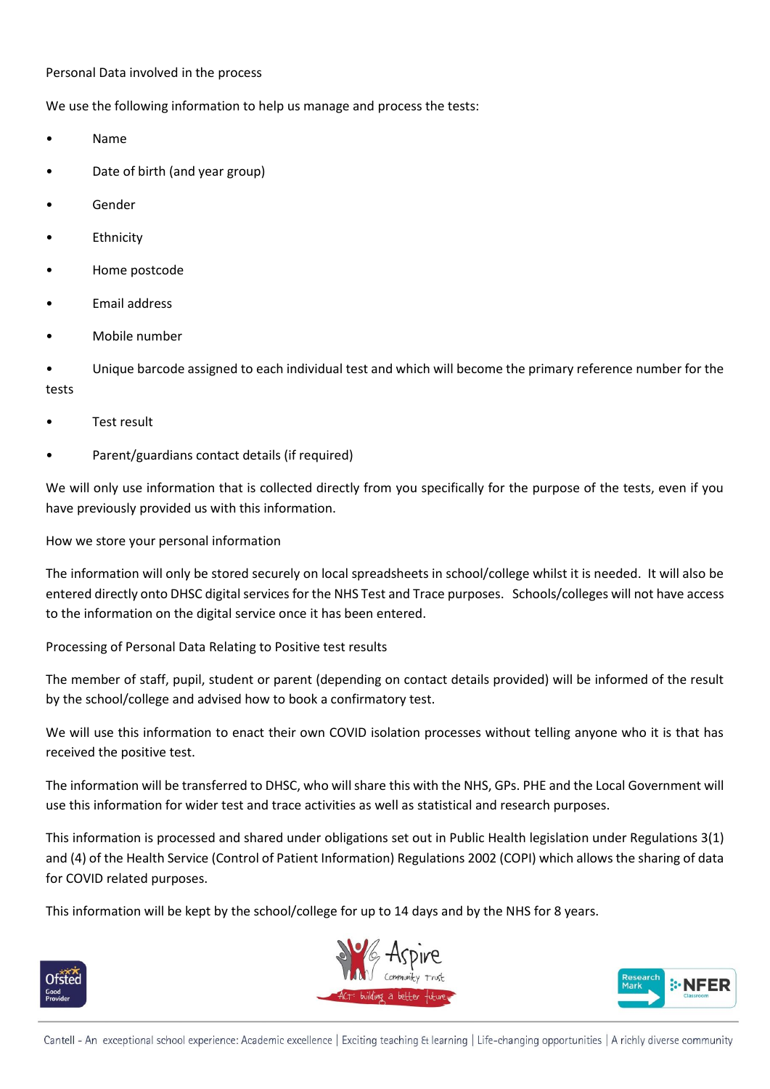### Personal Data involved in the process

We use the following information to help us manage and process the tests:

- Name
- Date of birth (and year group)
- **Gender**
- **Ethnicity**
- Home postcode
- Email address
- Mobile number

• Unique barcode assigned to each individual test and which will become the primary reference number for the tests

- Test result
- Parent/guardians contact details (if required)

We will only use information that is collected directly from you specifically for the purpose of the tests, even if you have previously provided us with this information.

How we store your personal information

The information will only be stored securely on local spreadsheets in school/college whilst it is needed. It will also be entered directly onto DHSC digital services for the NHS Test and Trace purposes. Schools/colleges will not have access to the information on the digital service once it has been entered.

Processing of Personal Data Relating to Positive test results

The member of staff, pupil, student or parent (depending on contact details provided) will be informed of the result by the school/college and advised how to book a confirmatory test.

We will use this information to enact their own COVID isolation processes without telling anyone who it is that has received the positive test.

The information will be transferred to DHSC, who will share this with the NHS, GPs. PHE and the Local Government will use this information for wider test and trace activities as well as statistical and research purposes.

This information is processed and shared under obligations set out in Public Health legislation under Regulations 3(1) and (4) of the Health Service (Control of Patient Information) Regulations 2002 (COPI) which allows the sharing of data for COVID related purposes.

This information will be kept by the school/college for up to 14 days and by the NHS for 8 years.







Cantell - An exceptional school experience: Academic excellence | Exciting teaching & learning | Life-changing opportunities | A richly diverse community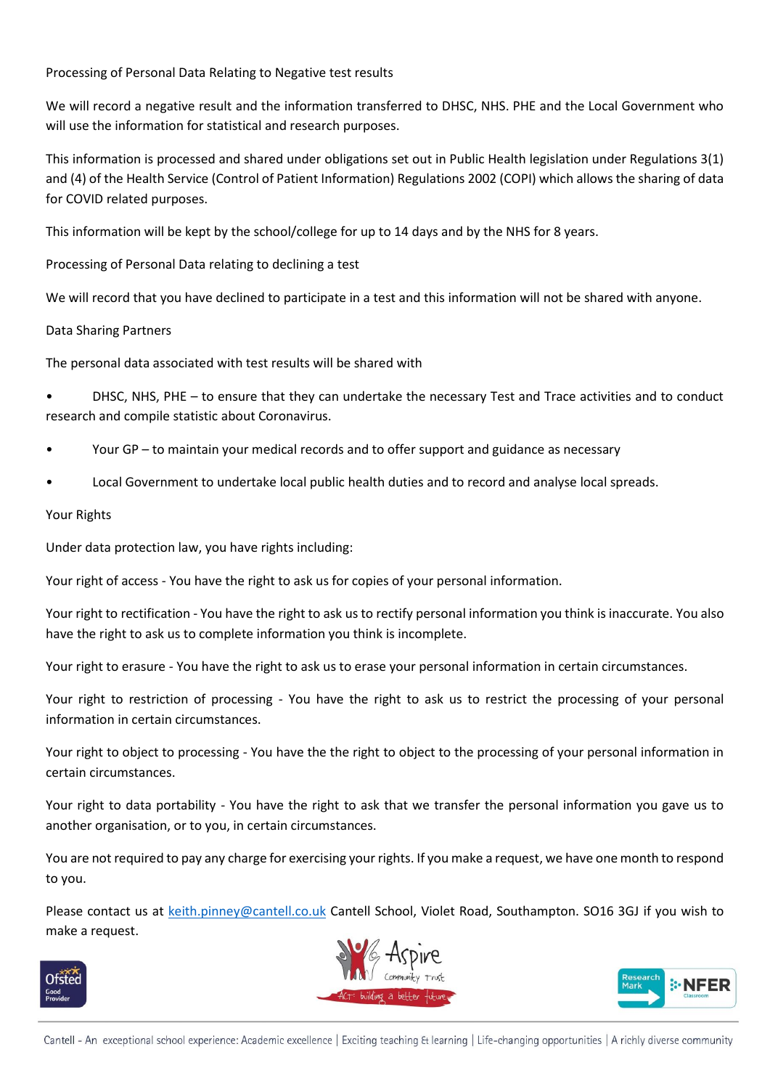Processing of Personal Data Relating to Negative test results

We will record a negative result and the information transferred to DHSC, NHS. PHE and the Local Government who will use the information for statistical and research purposes.

This information is processed and shared under obligations set out in Public Health legislation under Regulations 3(1) and (4) of the Health Service (Control of Patient Information) Regulations 2002 (COPI) which allows the sharing of data for COVID related purposes.

This information will be kept by the school/college for up to 14 days and by the NHS for 8 years.

Processing of Personal Data relating to declining a test

We will record that you have declined to participate in a test and this information will not be shared with anyone.

# Data Sharing Partners

The personal data associated with test results will be shared with

• DHSC, NHS, PHE – to ensure that they can undertake the necessary Test and Trace activities and to conduct research and compile statistic about Coronavirus.

- Your GP to maintain your medical records and to offer support and guidance as necessary
- Local Government to undertake local public health duties and to record and analyse local spreads.

### Your Rights

Under data protection law, you have rights including:

Your right of access - You have the right to ask us for copies of your personal information.

Your right to rectification - You have the right to ask us to rectify personal information you think is inaccurate. You also have the right to ask us to complete information you think is incomplete.

Your right to erasure - You have the right to ask us to erase your personal information in certain circumstances.

Your right to restriction of processing - You have the right to ask us to restrict the processing of your personal information in certain circumstances.

Your right to object to processing - You have the the right to object to the processing of your personal information in certain circumstances.

Your right to data portability - You have the right to ask that we transfer the personal information you gave us to another organisation, or to you, in certain circumstances.

You are not required to pay any charge for exercising your rights. If you make a request, we have one month to respond to you.

Please contact us at [keith.pinney@cantell.co.uk](mailto:keith.pinney@cantell.co.uk) Cantell School, Violet Road, Southampton. SO16 3GJ if you wish to make a request.







Cantell - An exceptional school experience: Academic excellence | Exciting teaching Et learning | Life-changing opportunities | A richly diverse community